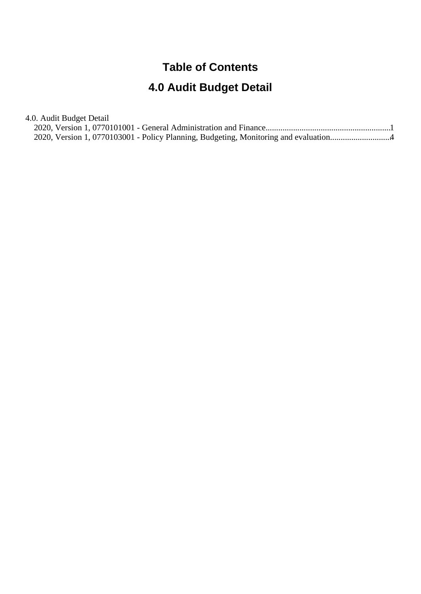#### **Table of Contents**

#### **4.0 Audit Budget Detail**

4.0. Audit Budget Detail

| 2020, Version 1, 0770103001 - Policy Planning, Budgeting, Monitoring and evaluation |  |
|-------------------------------------------------------------------------------------|--|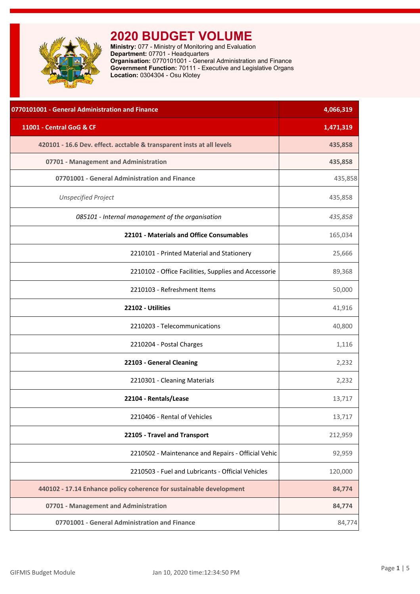<span id="page-1-0"></span>

**Ministry:** 077 - Ministry of Monitoring and Evaluation **Department:** 07701 - Headquarters **Organisation:** 0770101001 - General Administration and Finance **Government Function:** 70111 - Executive and Legislative Organs **Location:** 0304304 - Osu Klotey

| 0770101001 - General Administration and Finance                       | 4,066,319 |
|-----------------------------------------------------------------------|-----------|
| 11001 - Central GoG & CF                                              | 1,471,319 |
| 420101 - 16.6 Dev. effect. acctable & transparent insts at all levels | 435,858   |
| 07701 - Management and Administration                                 | 435,858   |
| 07701001 - General Administration and Finance                         | 435,858   |
| <b>Unspecified Project</b>                                            | 435,858   |
| 085101 - Internal management of the organisation                      | 435,858   |
| 22101 - Materials and Office Consumables                              | 165,034   |
| 2210101 - Printed Material and Stationery                             | 25,666    |
| 2210102 - Office Facilities, Supplies and Accessorie                  | 89,368    |
| 2210103 - Refreshment Items                                           | 50,000    |
| 22102 - Utilities                                                     | 41,916    |
| 2210203 - Telecommunications                                          | 40,800    |
| 2210204 - Postal Charges                                              | 1,116     |
| 22103 - General Cleaning                                              | 2,232     |
| 2210301 - Cleaning Materials                                          | 2,232     |
| 22104 - Rentals/Lease                                                 | 13,717    |
| 2210406 - Rental of Vehicles                                          | 13,717    |
| 22105 - Travel and Transport                                          | 212,959   |
| 2210502 - Maintenance and Repairs - Official Vehic                    | 92,959    |
| 2210503 - Fuel and Lubricants - Official Vehicles                     | 120,000   |
| 440102 - 17.14 Enhance policy coherence for sustainable development   | 84,774    |
| 07701 - Management and Administration                                 | 84,774    |
| 07701001 - General Administration and Finance                         | 84,774    |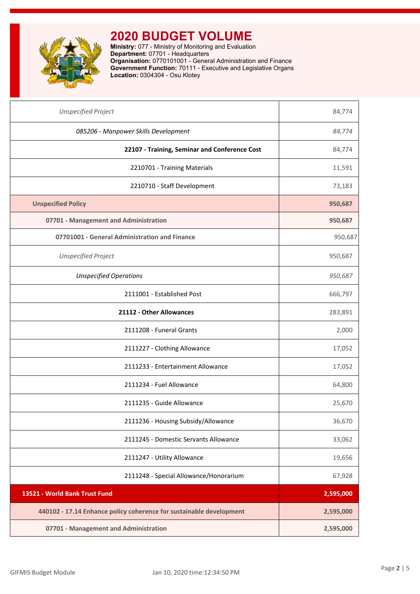

**Ministry:** 077 - Ministry of Monitoring and Evaluation **Department:** 07701 - Headquarters **Organisation:** 0770101001 - General Administration and Finance **Government Function:** 70111 - Executive and Legislative Organs **Location:** 0304304 - Osu Klotey

| <b>Unspecified Project</b>                                          | 84,774    |
|---------------------------------------------------------------------|-----------|
| 085206 - Manpower Skills Development                                | 84,774    |
| 22107 - Training, Seminar and Conference Cost                       | 84,774    |
| 2210701 - Training Materials                                        | 11,591    |
| 2210710 - Staff Development                                         | 73,183    |
| <b>Unspecified Policy</b>                                           | 950,687   |
| 07701 - Management and Administration                               | 950,687   |
| 07701001 - General Administration and Finance                       | 950,687   |
| <b>Unspecified Project</b>                                          | 950,687   |
| <b>Unspecified Operations</b>                                       | 950,687   |
| 2111001 - Established Post                                          | 666,797   |
| 21112 - Other Allowances                                            | 283,891   |
| 2111208 - Funeral Grants                                            | 2,000     |
| 2111227 - Clothing Allowance                                        | 17,052    |
| 2111233 - Entertainment Allowance                                   | 17,052    |
| 2111234 - Fuel Allowance                                            | 64,800    |
| 2111235 - Guide Allowance                                           | 25,670    |
| 2111236 - Housing Subsidy/Allowance                                 | 36,670    |
| 2111245 - Domestic Servants Allowance                               | 33,062    |
| 2111247 - Utility Allowance                                         | 19,656    |
| 2111248 - Special Allowance/Honorarium                              | 67,928    |
| 13521 - World Bank Trust Fund                                       | 2,595,000 |
| 440102 - 17.14 Enhance policy coherence for sustainable development | 2,595,000 |
| 07701 - Management and Administration                               | 2,595,000 |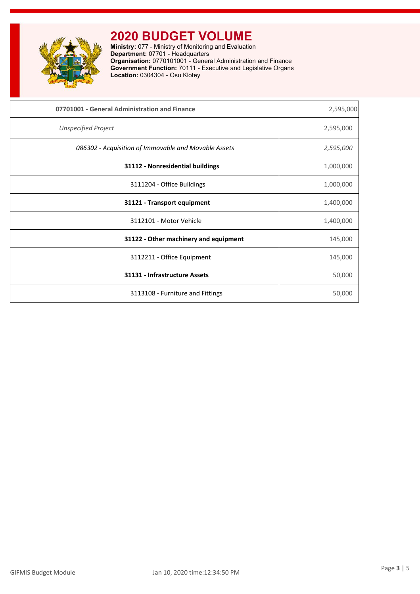

**Ministry:** 077 - Ministry of Monitoring and Evaluation **Department:** 07701 - Headquarters **Organisation:** 0770101001 - General Administration and Finance **Government Function:** 70111 - Executive and Legislative Organs **Location:** 0304304 - Osu Klotey

| 07701001 - General Administration and Finance        | 2,595,000 |
|------------------------------------------------------|-----------|
| <b>Unspecified Project</b>                           | 2,595,000 |
| 086302 - Acquisition of Immovable and Movable Assets | 2,595,000 |
| 31112 - Nonresidential buildings                     | 1,000,000 |
| 3111204 - Office Buildings                           | 1,000,000 |
| 31121 - Transport equipment                          | 1,400,000 |
| 3112101 - Motor Vehicle                              | 1,400,000 |
| 31122 - Other machinery and equipment                | 145,000   |
| 3112211 - Office Equipment                           | 145,000   |
| 31131 - Infrastructure Assets                        | 50,000    |
| 3113108 - Furniture and Fittings                     | 50,000    |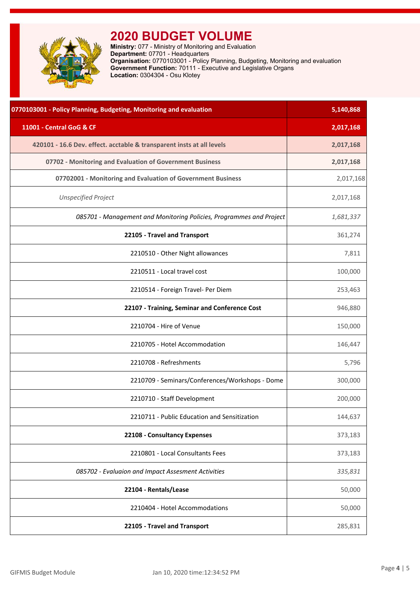<span id="page-4-0"></span>

**Ministry:** 077 - Ministry of Monitoring and Evaluation **Department:** 07701 - Headquarters **Organisation:** 0770103001 - Policy Planning, Budgeting, Monitoring and evaluation **Government Function:** 70111 - Executive and Legislative Organs **Location:** 0304304 - Osu Klotey

| 0770103001 - Policy Planning, Budgeting, Monitoring and evaluation    | 5,140,868 |
|-----------------------------------------------------------------------|-----------|
| 11001 - Central GoG & CF                                              | 2,017,168 |
| 420101 - 16.6 Dev. effect. acctable & transparent insts at all levels | 2,017,168 |
| 07702 - Monitoring and Evaluation of Government Business              | 2,017,168 |
| 07702001 - Monitoring and Evaluation of Government Business           | 2,017,168 |
| <b>Unspecified Project</b>                                            | 2,017,168 |
| 085701 - Management and Monitoring Policies, Programmes and Project   | 1,681,337 |
| 22105 - Travel and Transport                                          | 361,274   |
| 2210510 - Other Night allowances                                      | 7,811     |
| 2210511 - Local travel cost                                           | 100,000   |
| 2210514 - Foreign Travel- Per Diem                                    | 253,463   |
| 22107 - Training, Seminar and Conference Cost                         | 946,880   |
| 2210704 - Hire of Venue                                               | 150,000   |
| 2210705 - Hotel Accommodation                                         | 146,447   |
| 2210708 - Refreshments                                                | 5,796     |
| 2210709 - Seminars/Conferences/Workshops - Dome                       | 300,000   |
| 2210710 - Staff Development                                           | 200,000   |
| 2210711 - Public Education and Sensitization                          | 144,637   |
| 22108 - Consultancy Expenses                                          | 373,183   |
| 2210801 - Local Consultants Fees                                      | 373,183   |
| 085702 - Evaluaion and Impact Assesment Activities                    | 335,831   |
| 22104 - Rentals/Lease                                                 | 50,000    |
| 2210404 - Hotel Accommodations                                        | 50,000    |
| 22105 - Travel and Transport                                          | 285,831   |